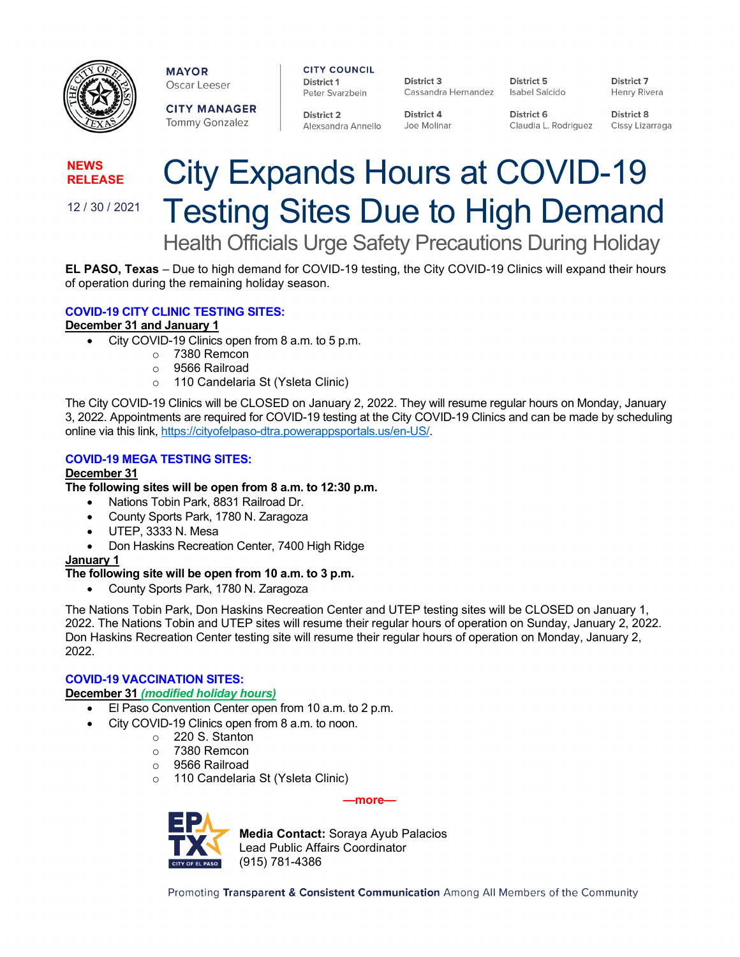

**MAYOR** Oscar Leeser

**CITY MANAGER** Tommy Gonzalez

**CITY COUNCIL** District 1

Alexsandra Annello

Peter Svarzbein **District 2** District 4

District 3 Cassandra Hernandez

Joe Molinar

District 5 Isabel Salcido

District 6 Claudia L. Rodriguez

District 8 Cissy Lizarraga

District 7

Henry Rivera

**NEWS RELEASE**

12 / 30 / 2021

# City Expands Hours at COVID-19 Testing Sites Due to High Demand Health Officials Urge Safety Precautions During Holiday

**EL PASO, Texas** – Due to high demand for COVID-19 testing, the City COVID-19 Clinics will expand their hours of operation during the remaining holiday season.

## **COVID-19 CITY CLINIC TESTING SITES:**

## **December 31 and January 1**

- City COVID-19 Clinics open from 8 a.m. to 5 p.m.
	- o 7380 Remcon
	- o 9566 Railroad
	- o 110 Candelaria St (Ysleta Clinic)

The City COVID-19 Clinics will be CLOSED on January 2, 2022. They will resume regular hours on Monday, January 3, 2022. Appointments are required for COVID-19 testing at the City COVID-19 Clinics and can be made by scheduling online via this link[, https://cityofelpaso-dtra.powerappsportals.us/en-US/.](https://cityofelpaso-dtra.powerappsportals.us/en-US/)

### **COVID-19 MEGA TESTING SITES:**

#### **December 31**

**The following sites will be open from 8 a.m. to 12:30 p.m.**

- Nations Tobin Park, 8831 Railroad Dr.
- County Sports Park, 1780 N. Zaragoza
- UTEP, 3333 N. Mesa
- Don Haskins Recreation Center, 7400 High Ridge

#### **January 1**

#### **The following site will be open from 10 a.m. to 3 p.m.**

• County Sports Park, 1780 N. Zaragoza

The Nations Tobin Park, Don Haskins Recreation Center and UTEP testing sites will be CLOSED on January 1, 2022. The Nations Tobin and UTEP sites will resume their regular hours of operation on Sunday, January 2, 2022. Don Haskins Recreation Center testing site will resume their regular hours of operation on Monday, January 2, 2022.

## **COVID-19 VACCINATION SITES:**

# **December 31** *(modified holiday hours)*

- El Paso Convention Center open from 10 a.m. to 2 p.m.
- City COVID-19 Clinics open from 8 a.m. to noon.
	- o 220 S. Stanton
	- o 7380 Remcon
	- o 9566 Railroad
	- o 110 Candelaria St (Ysleta Clinic)

**—more—**



**Media Contact:** Soraya Ayub Palacios Lead Public Affairs Coordinator (915) 781-4386